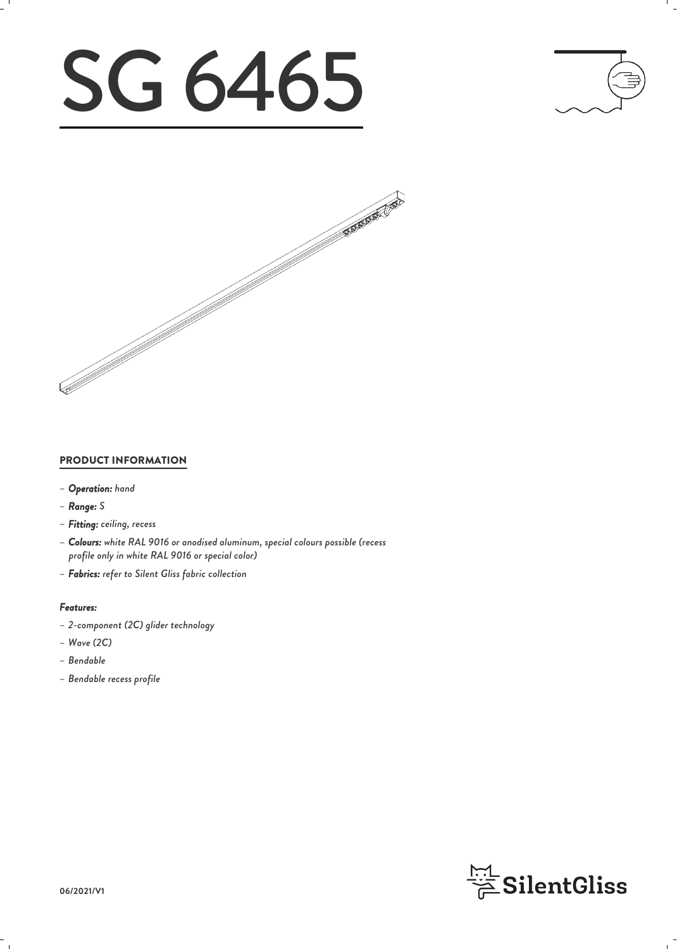# SG 6465





#### PRODUCT INFORMATION

- *– Operation: hand*
- *– Range: S*
- *– Fitting: ceiling, recess*
- *– Colours: white RAL 9016 or anodised aluminum, special colours possible (recess profile only in white RAL 9016 or special color)*
- *– Fabrics: refer to Silent Gliss fabric collection*

#### *Features:*

- *– 2-component (2C) glider technology*
- *– Wave (2C)*
- *– Bendable*
- *– Bendable recess profile*

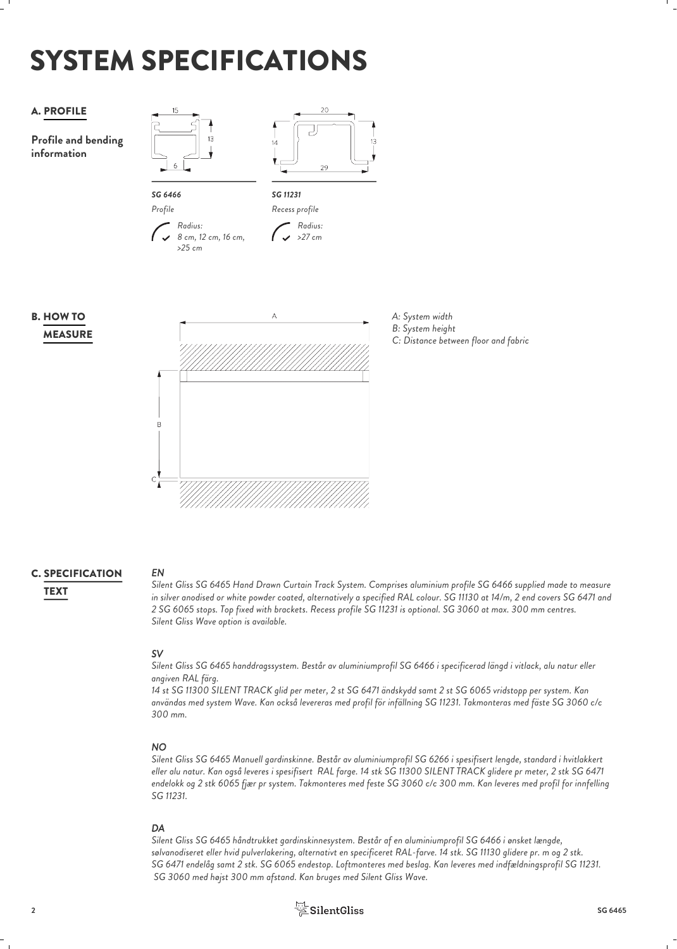# SYSTEM SPECIFICATIONS



### **C. SPECIFICATION** EN

#### *EN*

*Silent Gliss SG 6465 Hand Drawn Curtain Track System. Comprises aluminium profile SG 6466 supplied made to measure in silver anodised or white powder coated, alternatively a specified RAL colour. SG 11130 at 14/m, 2 end covers SG 6471 and* TEXT *2 SG 6065 stops. Top fixed with brackets. Recess profile SG 11231 is optional. SG 3060 at max. 300 mm centres. Silent Gliss Wave option is available.*

#### *SV*

*Silent Gliss SG 6465 handdragssystem. Består av aluminiumprofil SG 6466 i specificerad längd i vitlack, alu natur eller angiven RAL färg.*

*14 st SG 11300 SILENT TRACK glid per meter, 2 st SG 6471 ändskydd samt 2 st SG 6065 vridstopp per system. Kan användas med system Wave. Kan också levereras med profil för infällning SG 11231. Takmonteras med fäste SG 3060 c/c 300 mm.* 

#### *NO*

*Silent Gliss SG 6465 Manuell gardinskinne. Består av aluminiumprofil SG 6266 i spesifisert lengde, standard i hvitlakkert eller alu natur. Kan også leveres i spesifisert RAL farge. 14 stk SG 11300 SILENT TRACK glidere pr meter, 2 stk SG 6471 endelokk og 2 stk 6065 fjær pr system. Takmonteres med feste SG 3060 c/c 300 mm. Kan leveres med profil for innfelling SG 11231.*

#### *DA*

*Silent Gliss SG 6465 håndtrukket gardinskinnesystem. Består af en aluminiumprofil SG 6466 i ønsket længde, sølvanodiseret eller hvid pulverlakering, alternativt en specificeret RAL-farve. 14 stk. SG 11130 glidere pr. m og 2 stk. SG 6471 endelåg samt 2 stk. SG 6065 endestop. Loftmonteres med beslag. Kan leveres med indfældningsprofil SG 11231. SG 3060 med højst 300 mm afstand. Kan bruges med Silent Gliss Wave.*

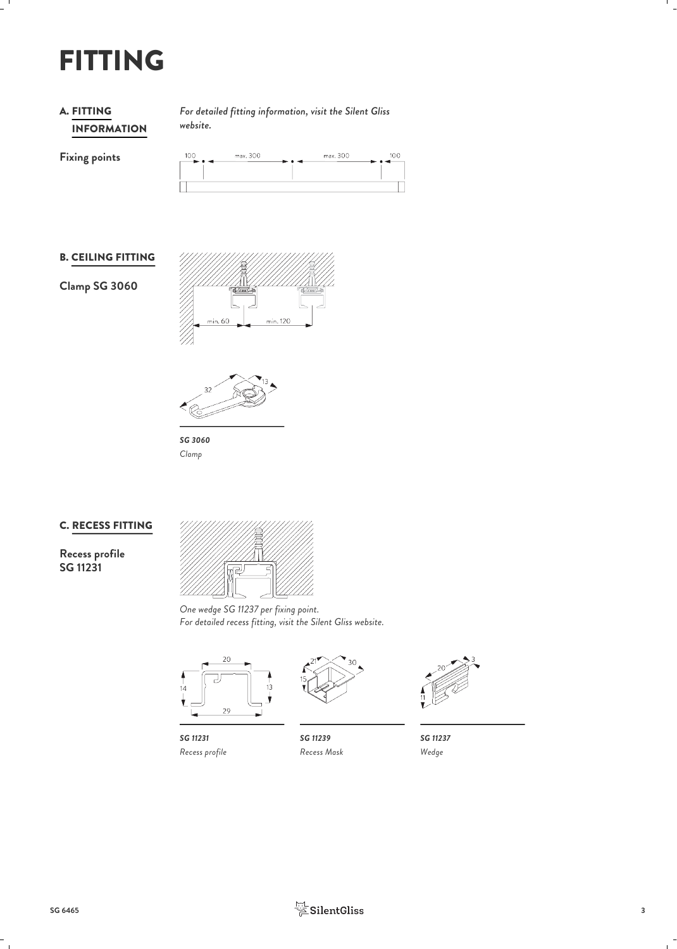## FITTING

#### INFORMATION **A. FITTING**

*For detailed fitting information, visit the Silent Gliss* FITTING *website.*



#### B. CEILING FITTING

**Clamp SG 3060**





*SG 3060 Clamp*

#### C. RECESS FITTING

**Recess profile SG 11231**



*One wedge SG 11237 per fixing point. For detailed recess fitting, visit the Silent Gliss website.*







*SG 11239 SG 11237 Recess Mask*



*Wedge*



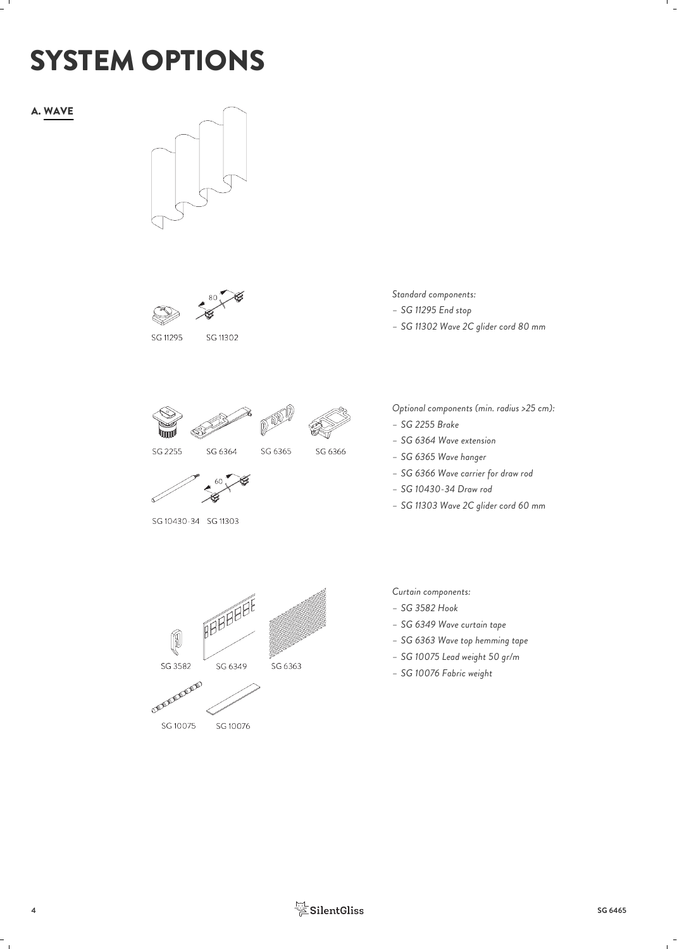## SYSTEM OPTIONS

#### A. WAVE





SG 11295

SG 11302

*Standard components:*

*– SG 11295 End stop*

*– SG 2255 Brake*

*– SG 6364 Wave extension – SG 6365 Wave hanger*

*– SG 10430-34 Draw rod*

*– SG 11302 Wave 2C glider cord 80 mm*

*Optional components (min. radius >25 cm):*

*– SG 6366 Wave carrier for draw rod*

*– SG 11303 Wave 2C glider cord 60 mm*





SG 6366



SG 10430-34 SG 11303









- 
- *– SG 6349 Wave curtain tape*
- *– SG 6363 Wave top hemming tape*
- *– SG 10075 Lead weight 50 gr/m*
- *– SG 10076 Fabric weight*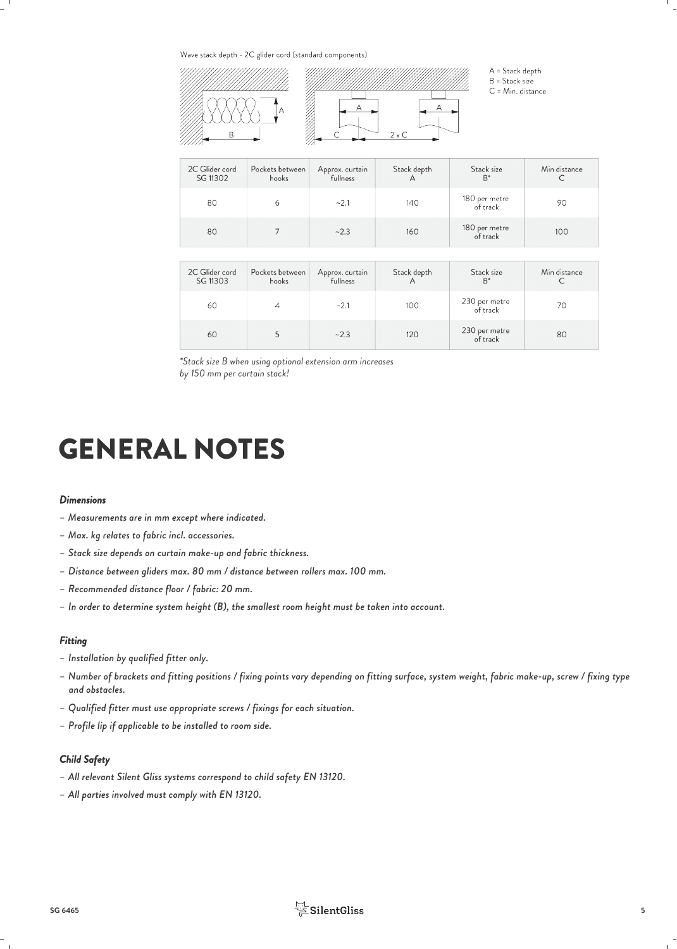Wave stack depth - 2C glider cord (standard components)



A = Stack depth  $B =$  Stack size C = Min. distance

| 2C Glider cord<br>SG 11302 | Pockets between<br>hooks | Approx. curtain<br>fullness | Stack depth | Stack size<br>$B^*$       | Min distance |
|----------------------------|--------------------------|-----------------------------|-------------|---------------------------|--------------|
| 80                         | 6                        | ~2.1                        | 140         | 180 per metre<br>of track | 90           |
| 80                         |                          | ~2.3                        | 160         | 180 per metre<br>of track | 100          |

| 2C Glider cord<br>SG 11303 | Pockets between<br>hooks | Approx. curtain<br>fullness | Stack depth | Stack size<br>$B^*$       | Min distance |
|----------------------------|--------------------------|-----------------------------|-------------|---------------------------|--------------|
| 60                         |                          | ~2.1                        | 100         | 230 per metre<br>of track | 70           |
| 60                         |                          | ~2.3                        | 120         | 230 per metre<br>of track | 80           |

*\*Stack size B when using optional extension arm increases by 150 mm per curtain stack!*

## GENERAL NOTES

#### *Dimensions*

- *– Measurements are in mm except where indicated.*
- *– Max. kg relates to fabric incl. accessories.*
- *– Stack size depends on curtain make-up and fabric thickness.*
- *– Distance between gliders max. 80 mm / distance between rollers max. 100 mm.*
- *– Recommended distance floor / fabric: 20 mm.*
- *– In order to determine system height (B), the smallest room height must be taken into account.*

#### *Fitting*

- *– Installation by qualified fitter only.*
- *– Number of brackets and fitting positions / fixing points vary depending on fitting surface, system weight, fabric make-up, screw / fixing type and obstacles.*
- *– Qualified fitter must use appropriate screws / fixings for each situation.*
- *– Profile lip if applicable to be installed to room side.*

#### *Child Safety*

- *– All relevant Silent Gliss systems correspond to child safety EN 13120.*
- *– All parties involved must comply with EN 13120.*

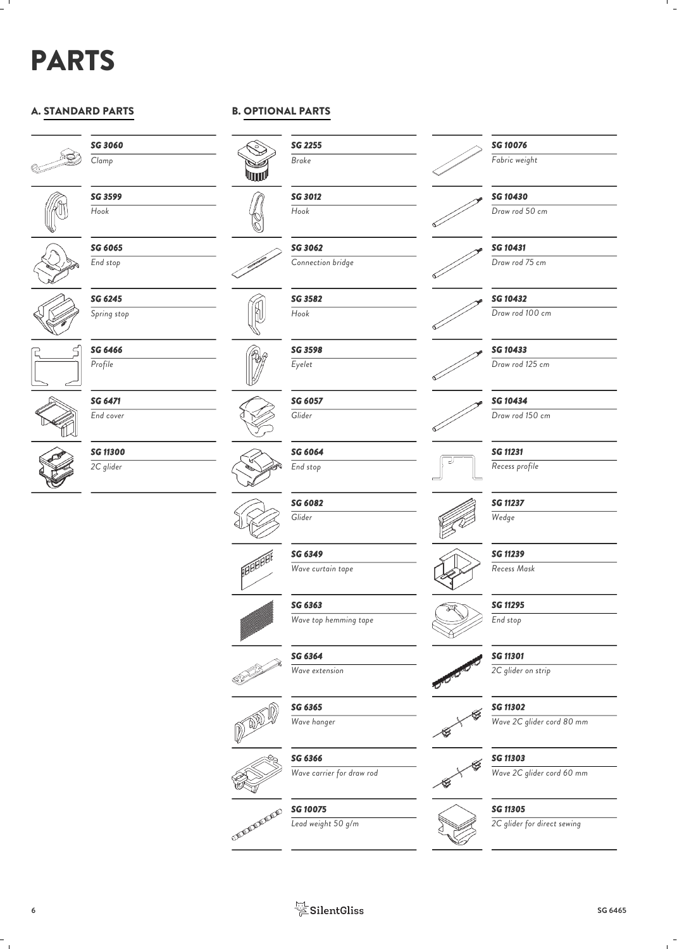# PARTS

#### A. STANDARD PARTS



*SG 3060 Clamp*

*SG 3599 Hook*

*SG 6065 End stop*





*SG 6245 Spring stop*



*SG 6466 Profile*



*SG 6471 End cover*



*SG 11300 2C glider*





*SG 3062 Connection bridge SG 3582*

*Hook*

*SG 3598 Eyelet*

*SG 6057 Glider*





*SG 6349 Wave curtain tape*

*SG 6082 Glider*

*SG 6363*



**DEBBBB** 

*SG 6364 Wave extension*



*Wave hanger*



CONTAINED BY THE REAL PROPERTY.





*SG 10430*

*Draw rod 50 cm*

*SG 10431*

*Draw rod 75 cm*





*Draw rod 125 cm*



*Draw rod 150 cm*

*SG 11231 Recess profile*

*SG 11237*



*Wedge*

*SG 11239*

*Recess Mask*

*SG 11295*

*End stop*

*SG 11301 2C glider on strip*



*SG 11302 Wave 2C glider cord 80 mm*



*Wave 2C glider cord 60 mm*



*2C glider for direct sewing*



*Wave top hemming tape*













*SG 10075 Lead weight 50 g/m*



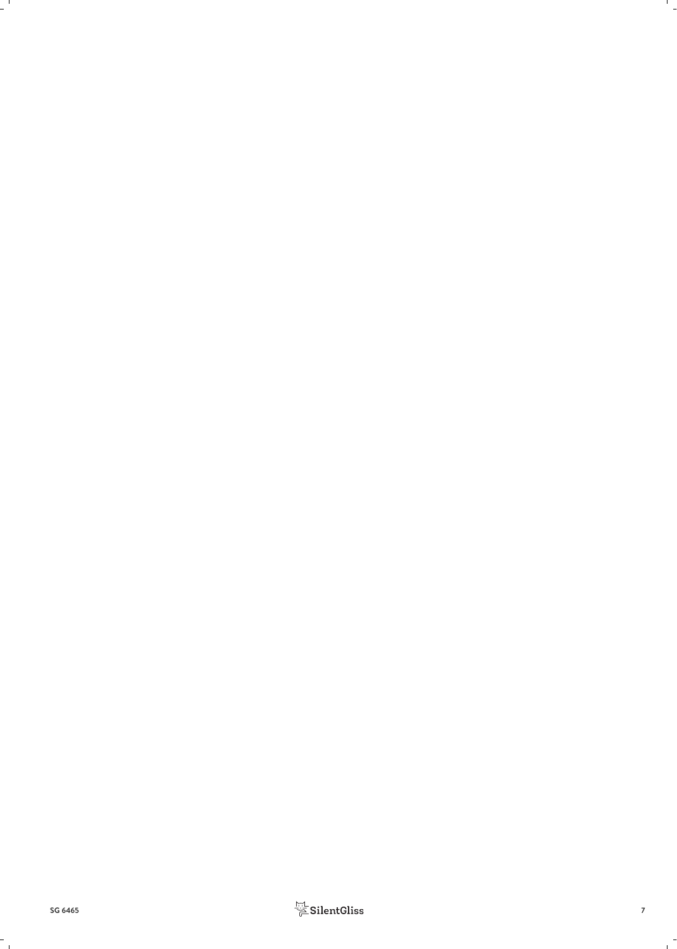